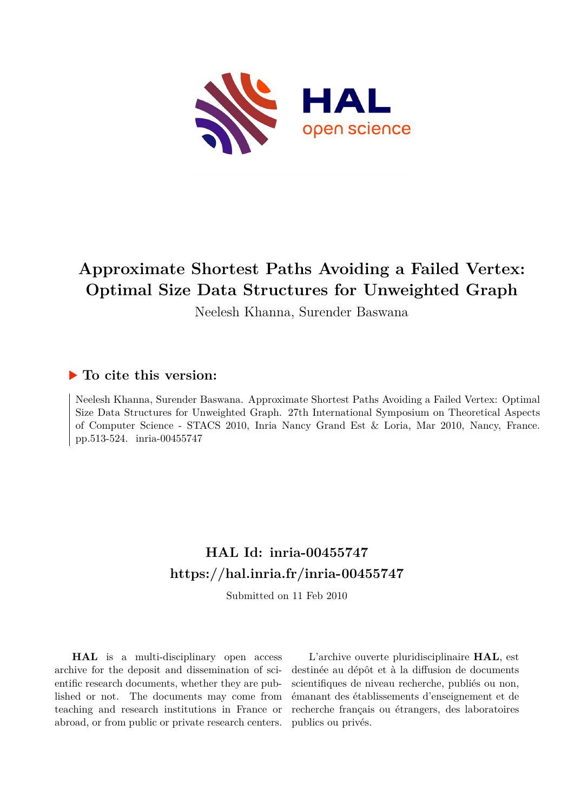

# **Approximate Shortest Paths Avoiding a Failed Vertex: Optimal Size Data Structures for Unweighted Graph**

Neelesh Khanna, Surender Baswana

## **To cite this version:**

Neelesh Khanna, Surender Baswana. Approximate Shortest Paths Avoiding a Failed Vertex: Optimal Size Data Structures for Unweighted Graph. 27th International Symposium on Theoretical Aspects of Computer Science - STACS 2010, Inria Nancy Grand Est & Loria, Mar 2010, Nancy, France. pp.513-524. inria-00455747

## **HAL Id: inria-00455747 <https://hal.inria.fr/inria-00455747>**

Submitted on 11 Feb 2010

**HAL** is a multi-disciplinary open access archive for the deposit and dissemination of scientific research documents, whether they are published or not. The documents may come from teaching and research institutions in France or abroad, or from public or private research centers.

L'archive ouverte pluridisciplinaire **HAL**, est destinée au dépôt et à la diffusion de documents scientifiques de niveau recherche, publiés ou non, émanant des établissements d'enseignement et de recherche français ou étrangers, des laboratoires publics ou privés.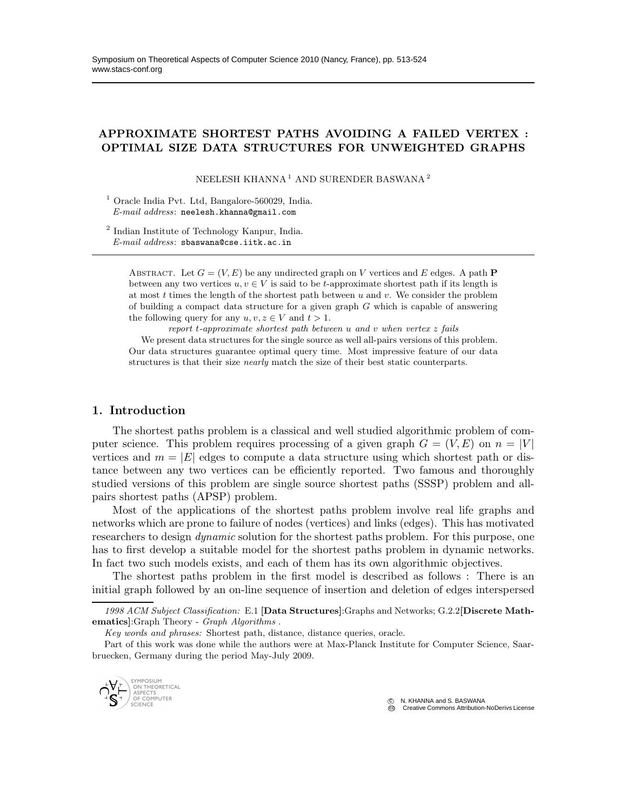### APPROXIMATE SHORTEST PATHS AVOIDING A FAILED VERTEX : OPTIMAL SIZE DATA STRUCTURES FOR UNWEIGHTED GRAPHS

NEELESH KHANNA<sup>1</sup> AND SURENDER BASWANA <sup>2</sup>

<sup>1</sup> Oracle India Pvt. Ltd. Bangalore-560029, India. *E-mail address*: neelesh.khanna@gmail.com

2 Indian Institute of Technology Kanpur, India. *E-mail address*: sbaswana@cse.iitk.ac.in

> ABSTRACT. Let  $G = (V, E)$  be any undirected graph on V vertices and E edges. A path P between any two vertices  $u, v \in V$  is said to be t-approximate shortest path if its length is at most  $t$  times the length of the shortest path between  $u$  and  $v$ . We consider the problem of building a compact data structure for a given graph  $G$  which is capable of answering the following query for any  $u, v, z \in V$  and  $t > 1$ .

*report* t*-approximate shortest path between* u *and* v *when vertex* z *fails*

We present data structures for the single source as well all-pairs versions of this problem. Our data structures guarantee optimal query time. Most impressive feature of our data structures is that their size *nearly* match the size of their best static counterparts.

#### 1. Introduction

The shortest paths problem is a classical and well studied algorithmic problem of computer science. This problem requires processing of a given graph  $G = (V, E)$  on  $n = |V|$ vertices and  $m = |E|$  edges to compute a data structure using which shortest path or distance between any two vertices can be efficiently reported. Two famous and thoroughly studied versions of this problem are single source shortest paths (SSSP) problem and allpairs shortest paths (APSP) problem.

Most of the applications of the shortest paths problem involve real life graphs and networks which are prone to failure of nodes (vertices) and links (edges). This has motivated researchers to design *dynamic* solution for the shortest paths problem. For this purpose, one has to first develop a suitable model for the shortest paths problem in dynamic networks. In fact two such models exists, and each of them has its own algorithmic objectives.

The shortest paths problem in the first model is described as follows : There is an initial graph followed by an on-line sequence of insertion and deletion of edges interspersed

Part of this work was done while the authors were at Max-Planck Institute for Computer Science, Saarbruecken, Germany during the period May-July 2009.



 $\circ$  N. KHANNA and S. BASWANA CCPC Creative Commons Attribution-NoDerivs License

*<sup>1998</sup> ACM Subject Classification:* E.1 [Data Structures]:Graphs and Networks; G.2.2[Discrete Mathematics]:Graph Theory - *Graph Algorithms* .

*Key words and phrases:* Shortest path, distance, distance queries, oracle.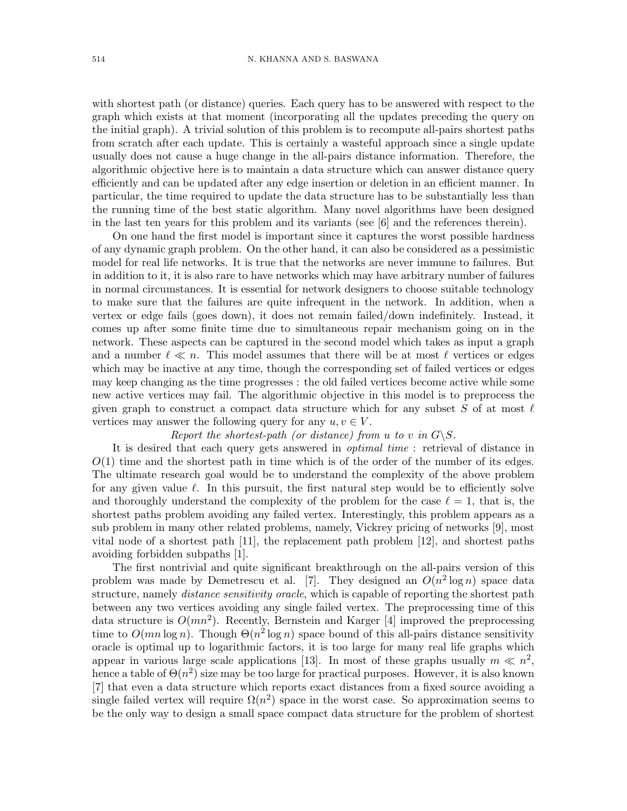with shortest path (or distance) queries. Each query has to be answered with respect to the graph which exists at that moment (incorporating all the updates preceding the query on the initial graph). A trivial solution of this problem is to recompute all-pairs shortest paths from scratch after each update. This is certainly a wasteful approach since a single update usually does not cause a huge change in the all-pairs distance information. Therefore, the algorithmic objective here is to maintain a data structure which can answer distance query efficiently and can be updated after any edge insertion or deletion in an efficient manner. In particular, the time required to update the data structure has to be substantially less than the running time of the best static algorithm. Many novel algorithms have been designed in the last ten years for this problem and its variants (see [6] and the references therein).

On one hand the first model is important since it captures the worst possible hardness of any dynamic graph problem. On the other hand, it can also be considered as a pessimistic model for real life networks. It is true that the networks are never immune to failures. But in addition to it, it is also rare to have networks which may have arbitrary number of failures in normal circumstances. It is essential for network designers to choose suitable technology to make sure that the failures are quite infrequent in the network. In addition, when a vertex or edge fails (goes down), it does not remain failed/down indefinitely. Instead, it comes up after some finite time due to simultaneous repair mechanism going on in the network. These aspects can be captured in the second model which takes as input a graph and a number  $\ell \ll n$ . This model assumes that there will be at most  $\ell$  vertices or edges which may be inactive at any time, though the corresponding set of failed vertices or edges may keep changing as the time progresses : the old failed vertices become active while some new active vertices may fail. The algorithmic objective in this model is to preprocess the given graph to construct a compact data structure which for any subset S of at most  $\ell$ vertices may answer the following query for any  $u, v \in V$ .

#### Report the shortest-path (or distance) from u to v in  $G\backslash S$ .

It is desired that each query gets answered in *optimal time* : retrieval of distance in  $O(1)$  time and the shortest path in time which is of the order of the number of its edges. The ultimate research goal would be to understand the complexity of the above problem for any given value  $\ell$ . In this pursuit, the first natural step would be to efficiently solve and thoroughly understand the complexity of the problem for the case  $\ell = 1$ , that is, the shortest paths problem avoiding any failed vertex. Interestingly, this problem appears as a sub problem in many other related problems, namely, Vickrey pricing of networks [9], most vital node of a shortest path [11], the replacement path problem [12], and shortest paths avoiding forbidden subpaths [1].

The first nontrivial and quite significant breakthrough on the all-pairs version of this problem was made by Demetrescu et al. [7]. They designed an  $O(n^2 \log n)$  space data structure, namely *distance sensitivity oracle*, which is capable of reporting the shortest path between any two vertices avoiding any single failed vertex. The preprocessing time of this data structure is  $O(mn^2)$ . Recently, Bernstein and Karger [4] improved the preprocessing time to  $O(mn \log n)$ . Though  $\Theta(n^2 \log n)$  space bound of this all-pairs distance sensitivity oracle is optimal up to logarithmic factors, it is too large for many real life graphs which appear in various large scale applications [13]. In most of these graphs usually  $m \ll n^2$ , hence a table of  $\Theta(n^2)$  size may be too large for practical purposes. However, it is also known [7] that even a data structure which reports exact distances from a fixed source avoiding a single failed vertex will require  $\Omega(n^2)$  space in the worst case. So approximation seems to be the only way to design a small space compact data structure for the problem of shortest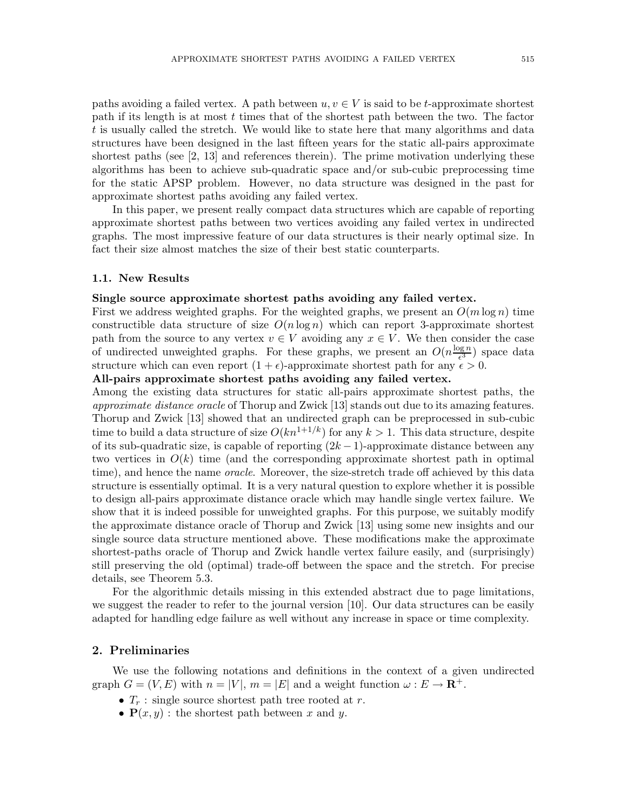paths avoiding a failed vertex. A path between  $u, v \in V$  is said to be t-approximate shortest path if its length is at most t times that of the shortest path between the two. The factor t is usually called the stretch. We would like to state here that many algorithms and data structures have been designed in the last fifteen years for the static all-pairs approximate shortest paths (see [2, 13] and references therein). The prime motivation underlying these algorithms has been to achieve sub-quadratic space and/or sub-cubic preprocessing time for the static APSP problem. However, no data structure was designed in the past for approximate shortest paths avoiding any failed vertex.

In this paper, we present really compact data structures which are capable of reporting approximate shortest paths between two vertices avoiding any failed vertex in undirected graphs. The most impressive feature of our data structures is their nearly optimal size. In fact their size almost matches the size of their best static counterparts.

#### 1.1. New Results

#### Single source approximate shortest paths avoiding any failed vertex.

First we address weighted graphs. For the weighted graphs, we present an  $O(m \log n)$  time constructible data structure of size  $O(n \log n)$  which can report 3-approximate shortest path from the source to any vertex  $v \in V$  avoiding any  $x \in V$ . We then consider the case of undirected unweighted graphs. For these graphs, we present an  $O(n^{\frac{\log n}{\epsilon^3}})$  $\frac{\log n}{\epsilon^3}$ ) space data structure which can even report  $(1 + \epsilon)$ -approximate shortest path for any  $\epsilon > 0$ .

#### All-pairs approximate shortest paths avoiding any failed vertex.

Among the existing data structures for static all-pairs approximate shortest paths, the approximate distance oracle of Thorup and Zwick [13] stands out due to its amazing features. Thorup and Zwick [13] showed that an undirected graph can be preprocessed in sub-cubic time to build a data structure of size  $O(kn^{1+1/k})$  for any  $k > 1$ . This data structure, despite of its sub-quadratic size, is capable of reporting  $(2k-1)$ -approximate distance between any two vertices in  $O(k)$  time (and the corresponding approximate shortest path in optimal time), and hence the name *oracle*. Moreover, the size-stretch trade off achieved by this data structure is essentially optimal. It is a very natural question to explore whether it is possible to design all-pairs approximate distance oracle which may handle single vertex failure. We show that it is indeed possible for unweighted graphs. For this purpose, we suitably modify the approximate distance oracle of Thorup and Zwick [13] using some new insights and our single source data structure mentioned above. These modifications make the approximate shortest-paths oracle of Thorup and Zwick handle vertex failure easily, and (surprisingly) still preserving the old (optimal) trade-off between the space and the stretch. For precise details, see Theorem 5.3.

For the algorithmic details missing in this extended abstract due to page limitations, we suggest the reader to refer to the journal version [10]. Our data structures can be easily adapted for handling edge failure as well without any increase in space or time complexity.

#### 2. Preliminaries

We use the following notations and definitions in the context of a given undirected graph  $G = (V, E)$  with  $n = |V|$ ,  $m = |E|$  and a weight function  $\omega : E \to \mathbb{R}^+$ .

- $T_r$ : single source shortest path tree rooted at r.
- $P(x, y)$ : the shortest path between x and y.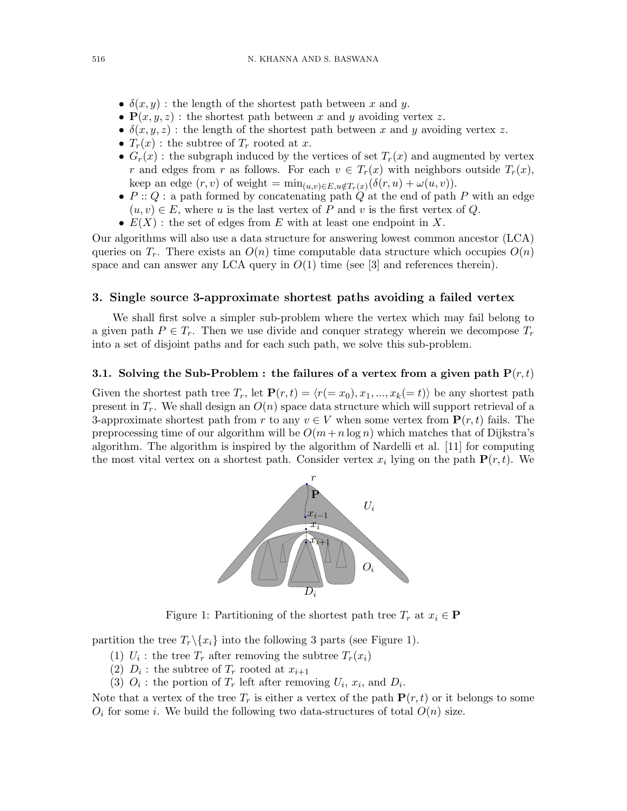- $\delta(x, y)$ : the length of the shortest path between x and y.
- $P(x, y, z)$ : the shortest path between x and y avoiding vertex z.
- $\delta(x, y, z)$ : the length of the shortest path between x and y avoiding vertex z.
- $T_r(x)$ : the subtree of  $T_r$  rooted at x.
- $G_r(x)$ : the subgraph induced by the vertices of set  $T_r(x)$  and augmented by vertex r and edges from r as follows. For each  $v \in T_r(x)$  with neighbors outside  $T_r(x)$ , keep an edge  $(r, v)$  of weight =  $min_{(u,v)\in E, u \notin T_r(x)} (\delta(r, u) + \omega(u, v)).$
- $P: Q:$  a path formed by concatenating path  $Q$  at the end of path  $P$  with an edge  $(u, v) \in E$ , where u is the last vertex of P and v is the first vertex of Q.
- $E(X)$ : the set of edges from E with at least one endpoint in X.

Our algorithms will also use a data structure for answering lowest common ancestor (LCA) queries on  $T_r$ . There exists an  $O(n)$  time computable data structure which occupies  $O(n)$ space and can answer any LCA query in  $O(1)$  time (see [3] and references therein).

#### 3. Single source 3-approximate shortest paths avoiding a failed vertex

We shall first solve a simpler sub-problem where the vertex which may fail belong to a given path  $P \in T_r$ . Then we use divide and conquer strategy wherein we decompose  $T_r$ into a set of disjoint paths and for each such path, we solve this sub-problem.

#### 3.1. Solving the Sub-Problem : the failures of a vertex from a given path  $P(r,t)$

Given the shortest path tree  $T_r$ , let  $\mathbf{P}(r, t) = \langle r(= x_0), x_1, ..., x_k(= t) \rangle$  be any shortest path present in  $T_r$ . We shall design an  $O(n)$  space data structure which will support retrieval of a 3-approximate shortest path from r to any  $v \in V$  when some vertex from  $\mathbf{P}(r,t)$  fails. The preprocessing time of our algorithm will be  $O(m+n \log n)$  which matches that of Dijkstra's algorithm. The algorithm is inspired by the algorithm of Nardelli et al. [11] for computing the most vital vertex on a shortest path. Consider vertex  $x_i$  lying on the path  $P(r, t)$ . We



Figure 1: Partitioning of the shortest path tree  $T_r$  at  $x_i \in \mathbf{P}$ 

partition the tree  $T_r \setminus \{x_i\}$  into the following 3 parts (see Figure 1).

- (1)  $U_i$ : the tree  $T_r$  after removing the subtree  $T_r(x_i)$
- (2)  $D_i$ : the subtree of  $T_r$  rooted at  $x_{i+1}$
- (3)  $O_i$ : the portion of  $T_r$  left after removing  $U_i$ ,  $x_i$ , and  $D_i$ .

Note that a vertex of the tree  $T_r$  is either a vertex of the path  $P(r, t)$  or it belongs to some  $O_i$  for some *i*. We build the following two data-structures of total  $O(n)$  size.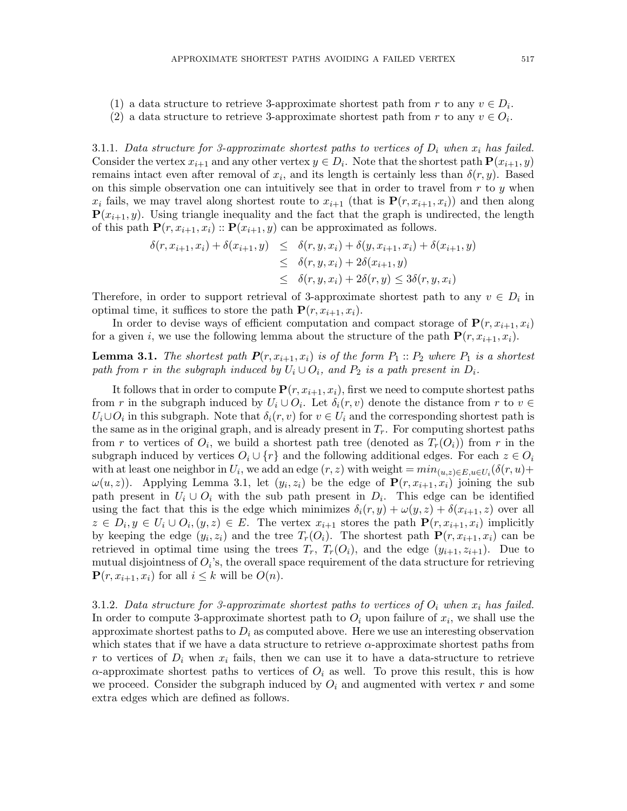- (1) a data structure to retrieve 3-approximate shortest path from r to any  $v \in D_i$ .
- (2) a data structure to retrieve 3-approximate shortest path from r to any  $v \in O_i$ .

3.1.1. Data structure for 3-approximate shortest paths to vertices of  $D_i$  when  $x_i$  has failed. Consider the vertex  $x_{i+1}$  and any other vertex  $y \in D_i$ . Note that the shortest path  $\mathbf{P}(x_{i+1}, y)$ remains intact even after removal of  $x_i$ , and its length is certainly less than  $\delta(r, y)$ . Based on this simple observation one can intuitively see that in order to travel from  $r$  to  $y$  when  $x_i$  fails, we may travel along shortest route to  $x_{i+1}$  (that is  $\mathbf{P}(r, x_{i+1}, x_i)$ ) and then along  ${\bf P}(x_{i+1}, y)$ . Using triangle inequality and the fact that the graph is undirected, the length of this path  $P(r, x_{i+1}, x_i)$ :  $P(x_{i+1}, y)$  can be approximated as follows.

$$
\delta(r, x_{i+1}, x_i) + \delta(x_{i+1}, y) \leq \delta(r, y, x_i) + \delta(y, x_{i+1}, x_i) + \delta(x_{i+1}, y)
$$
  
\n
$$
\leq \delta(r, y, x_i) + 2\delta(x_{i+1}, y)
$$
  
\n
$$
\leq \delta(r, y, x_i) + 2\delta(r, y) \leq 3\delta(r, y, x_i)
$$

Therefore, in order to support retrieval of 3-approximate shortest path to any  $v \in D_i$  in optimal time, it suffices to store the path  $P(r, x_{i+1}, x_i)$ .

In order to devise ways of efficient computation and compact storage of  ${\bf P}(r, x_{i+1}, x_i)$ for a given i, we use the following lemma about the structure of the path  ${\bf P}(r, x_{i+1}, x_i)$ .

## **Lemma 3.1.** The shortest path  $P(r, x_{i+1}, x_i)$  is of the form  $P_1$ :  $P_2$  where  $P_1$  is a shortest path from r in the subgraph induced by  $U_i \cup O_i$ , and  $P_2$  is a path present in  $D_i$ .

It follows that in order to compute  $P(r, x_{i+1}, x_i)$ , first we need to compute shortest paths from r in the subgraph induced by  $U_i \cup O_i$ . Let  $\delta_i(r, v)$  denote the distance from r to  $v \in$  $U_i\cup O_i$  in this subgraph. Note that  $\delta_i(r,v)$  for  $v\in U_i$  and the corresponding shortest path is the same as in the original graph, and is already present in  $T_r$ . For computing shortest paths from r to vertices of  $O_i$ , we build a shortest path tree (denoted as  $T_r(O_i)$ ) from r in the subgraph induced by vertices  $O_i \cup \{r\}$  and the following additional edges. For each  $z \in O_i$ with at least one neighbor in  $U_i$ , we add an edge  $(r, z)$  with weight  $=min_{(u, z) \in E, u \in U_i}(\delta(r, u) +$  $\omega(u, z)$ ). Applying Lemma 3.1, let  $(y_i, z_i)$  be the edge of  $\mathbf{P}(r, x_{i+1}, x_i)$  joining the sub path present in  $U_i \cup O_i$  with the sub path present in  $D_i$ . This edge can be identified using the fact that this is the edge which minimizes  $\delta_i(r, y) + \omega(y, z) + \delta(x_{i+1}, z)$  over all  $z \in D_i, y \in U_i \cup O_i, (y, z) \in E$ . The vertex  $x_{i+1}$  stores the path  $\mathbf{P}(r, x_{i+1}, x_i)$  implicitly by keeping the edge  $(y_i, z_i)$  and the tree  $T_r(O_i)$ . The shortest path  $\mathbf{P}(r, x_{i+1}, x_i)$  can be retrieved in optimal time using the trees  $T_r$ ,  $T_r(O_i)$ , and the edge  $(y_{i+1}, z_{i+1})$ . Due to mutual disjointness of  $O_i$ 's, the overall space requirement of the data structure for retrieving  $\mathbf{P}(r, x_{i+1}, x_i)$  for all  $i \leq k$  will be  $O(n)$ .

3.1.2. Data structure for 3-approximate shortest paths to vertices of  $O_i$  when  $x_i$  has failed. In order to compute 3-approximate shortest path to  $O_i$  upon failure of  $x_i$ , we shall use the approximate shortest paths to  $D_i$  as computed above. Here we use an interesting observation which states that if we have a data structure to retrieve  $\alpha$ -approximate shortest paths from r to vertices of  $D_i$  when  $x_i$  fails, then we can use it to have a data-structure to retrieve  $\alpha$ -approximate shortest paths to vertices of  $O_i$  as well. To prove this result, this is how we proceed. Consider the subgraph induced by  $O_i$  and augmented with vertex r and some extra edges which are defined as follows.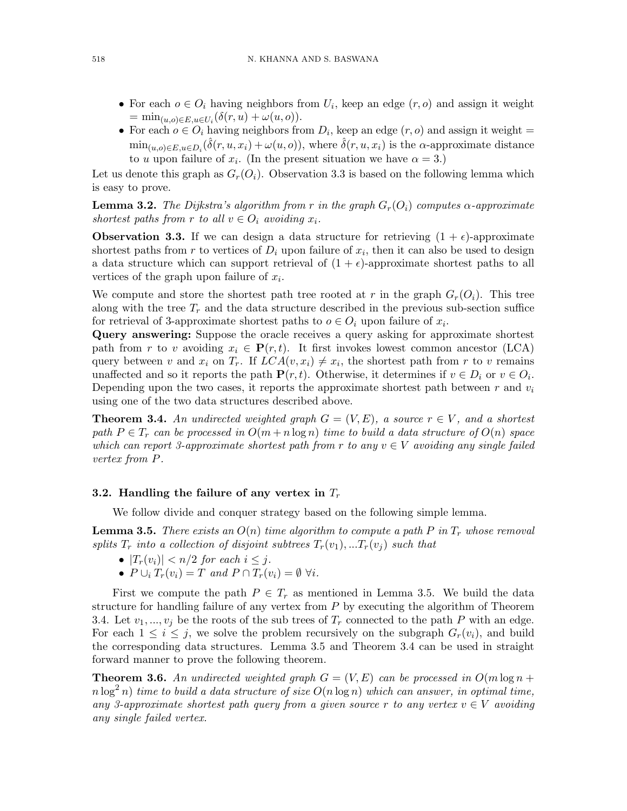- For each  $o \in O_i$  having neighbors from  $U_i$ , keep an edge  $(r, o)$  and assign it weight  $= \min_{(u,o)\in E, u\in U_i} (\delta(r, u) + \omega(u, o)).$
- For each  $o \in O_i$  having neighbors from  $D_i$ , keep an edge  $(r, o)$  and assign it weight =  $min_{(u,o)\in E, u\in D_i}(\hat{\delta}(r, u, x_i) + \omega(u, o)),$  where  $\hat{\delta}(r, u, x_i)$  is the  $\alpha$ -approximate distance to u upon failure of  $x_i$ . (In the present situation we have  $\alpha = 3$ .)

Let us denote this graph as  $G_r(O_i)$ . Observation 3.3 is based on the following lemma which is easy to prove.

**Lemma 3.2.** The Dijkstra's algorithm from r in the graph  $G_r(O_i)$  computes  $\alpha$ -approximate shortest paths from r to all  $v \in O_i$  avoiding  $x_i$ .

**Observation 3.3.** If we can design a data structure for retrieving  $(1 + \epsilon)$ -approximate shortest paths from r to vertices of  $D_i$  upon failure of  $x_i$ , then it can also be used to design a data structure which can support retrieval of  $(1 + \epsilon)$ -approximate shortest paths to all vertices of the graph upon failure of  $x_i$ .

We compute and store the shortest path tree rooted at r in the graph  $G_r(O_i)$ . This tree along with the tree  $T_r$  and the data structure described in the previous sub-section suffice for retrieval of 3-approximate shortest paths to  $o \in O_i$  upon failure of  $x_i$ .

Query answering: Suppose the oracle receives a query asking for approximate shortest path from r to v avoiding  $x_i \in \mathbf{P}(r, t)$ . It first invokes lowest common ancestor (LCA) query between v and  $x_i$  on  $T_r$ . If  $LCA(v, x_i) \neq x_i$ , the shortest path from r to v remains unaffected and so it reports the path  $\mathbf{P}(r, t)$ . Otherwise, it determines if  $v \in D_i$  or  $v \in O_i$ . Depending upon the two cases, it reports the approximate shortest path between  $r$  and  $v_i$ using one of the two data structures described above.

**Theorem 3.4.** An undirected weighted graph  $G = (V, E)$ , a source  $r \in V$ , and a shortest path  $P \in T_r$  can be processed in  $O(m + n \log n)$  time to build a data structure of  $O(n)$  space which can report 3-approximate shortest path from r to any  $v \in V$  avoiding any single failed vertex from P.

#### 3.2. Handling the failure of any vertex in  $T_r$

We follow divide and conquer strategy based on the following simple lemma.

**Lemma 3.5.** There exists an  $O(n)$  time algorithm to compute a path P in  $T_r$  whose removal splits  $T_r$  into a collection of disjoint subtrees  $T_r(v_1),...T_r(v_i)$  such that

- $|T_r(v_i)| < n/2$  for each  $i \leq j$ .
- $P \cup_i T_r(v_i) = T$  and  $P \cap T_r(v_i) = \emptyset \ \forall i$ .

First we compute the path  $P \in T_r$  as mentioned in Lemma 3.5. We build the data structure for handling failure of any vertex from  $P$  by executing the algorithm of Theorem 3.4. Let  $v_1, ..., v_i$  be the roots of the sub trees of  $T_r$  connected to the path P with an edge. For each  $1 \leq i \leq j$ , we solve the problem recursively on the subgraph  $G_r(v_i)$ , and build the corresponding data structures. Lemma 3.5 and Theorem 3.4 can be used in straight forward manner to prove the following theorem.

**Theorem 3.6.** An undirected weighted graph  $G = (V, E)$  can be processed in  $O(m \log n +$  $n \log^2 n$ ) time to build a data structure of size  $O(n \log n)$  which can answer, in optimal time, any 3-approximate shortest path query from a given source r to any vertex  $v \in V$  avoiding any single failed vertex.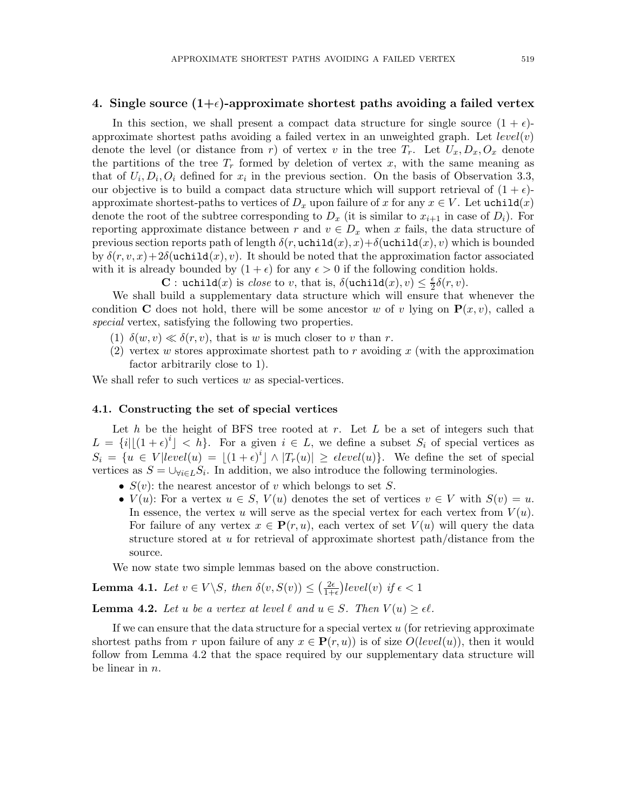#### 4. Single source  $(1+\epsilon)$ -approximate shortest paths avoiding a failed vertex

In this section, we shall present a compact data structure for single source  $(1 + \epsilon)$ approximate shortest paths avoiding a failed vertex in an unweighted graph. Let  $level(v)$ denote the level (or distance from r) of vertex v in the tree  $T_r$ . Let  $U_x, D_x, O_x$  denote the partitions of the tree  $T_r$  formed by deletion of vertex x, with the same meaning as that of  $U_i, D_i, O_i$  defined for  $x_i$  in the previous section. On the basis of Observation 3.3, our objective is to build a compact data structure which will support retrieval of  $(1 + \epsilon)$ approximate shortest-paths to vertices of  $D_x$  upon failure of x for any  $x \in V$ . Let uchild(x) denote the root of the subtree corresponding to  $D_x$  (it is similar to  $x_{i+1}$  in case of  $D_i$ ). For reporting approximate distance between r and  $v \in D_x$  when x fails, the data structure of previous section reports path of length  $\delta(r, \text{uchild}(x), x) + \delta(\text{uchild}(x), v)$  which is bounded by  $\delta(r, v, x) + 2\delta(\text{uchid}(x), v)$ . It should be noted that the approximation factor associated with it is already bounded by  $(1 + \epsilon)$  for any  $\epsilon > 0$  if the following condition holds.

**C**: uchild(x) is close to v, that is,  $\delta(\text{uchild}(x), v) \leq \frac{\epsilon}{2}$  $rac{\epsilon}{2}\delta(r,v).$ 

We shall build a supplementary data structure which will ensure that whenever the condition C does not hold, there will be some ancestor w of v lying on  $P(x, v)$ , called a special vertex, satisfying the following two properties.

- (1)  $\delta(w, v) \ll \delta(r, v)$ , that is w is much closer to v than r.
- (2) vertex w stores approximate shortest path to r avoiding x (with the approximation factor arbitrarily close to 1).

We shall refer to such vertices  $w$  as special-vertices.

#### 4.1. Constructing the set of special vertices

Let h be the height of BFS tree rooted at r. Let  $L$  be a set of integers such that  $L = \{i | \lfloor (1+\epsilon)^i \rfloor < h\}.$  For a given  $i \in L$ , we define a subset  $S_i$  of special vertices as  $S_i = \{u \in V | level(u) = \lfloor (1+\epsilon)^i \rfloor \wedge |T_r(u)| \geq \epsilon level(u) \}.$  We define the set of special vertices as  $S = \bigcup_{\forall i \in L} S_i$ . In addition, we also introduce the following terminologies.

- $S(v)$ : the nearest ancestor of v which belongs to set S.
- $V(u)$ : For a vertex  $u \in S$ ,  $V(u)$  denotes the set of vertices  $v \in V$  with  $S(v) = u$ . In essence, the vertex u will serve as the special vertex for each vertex from  $V(u)$ . For failure of any vertex  $x \in \mathbf{P}(r, u)$ , each vertex of set  $V(u)$  will query the data structure stored at  $u$  for retrieval of approximate shortest path/distance from the source.

We now state two simple lemmas based on the above construction.

**Lemma 4.1.** Let 
$$
v \in V \setminus S
$$
, then  $\delta(v, S(v)) \leq \left(\frac{2\epsilon}{1+\epsilon}\right) level(v)$  if  $\epsilon < 1$ 

**Lemma 4.2.** Let u be a vertex at level  $\ell$  and  $u \in S$ . Then  $V(u) \geq \epsilon \ell$ .

If we can ensure that the data structure for a special vertex  $u$  (for retrieving approximate shortest paths from r upon failure of any  $x \in \mathbf{P}(r, u)$  is of size  $O(level(u))$ , then it would follow from Lemma 4.2 that the space required by our supplementary data structure will be linear in n.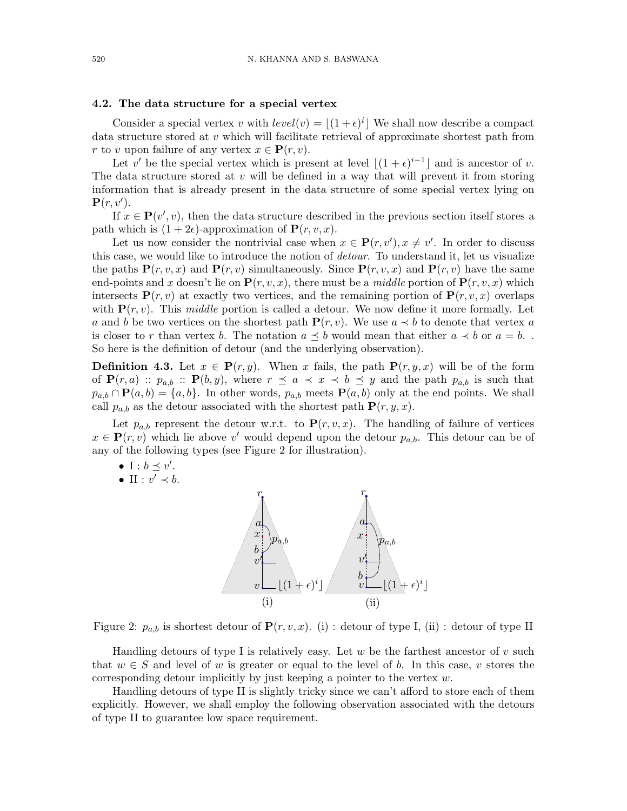#### 4.2. The data structure for a special vertex

Consider a special vertex v with  $level(v) = \lfloor (1+\epsilon)^{i} \rfloor$  We shall now describe a compact data structure stored at v which will facilitate retrieval of approximate shortest path from r to v upon failure of any vertex  $x \in \mathbf{P}(r, v)$ .

Let v' be the special vertex which is present at level  $\lfloor (1+\epsilon)^{i-1} \rfloor$  and is ancestor of v. The data structure stored at  $v$  will be defined in a way that will prevent it from storing information that is already present in the data structure of some special vertex lying on  $\mathbf{P}(r, v').$ 

If  $x \in \mathbf{P}(v', v)$ , then the data structure described in the previous section itself stores a path which is  $(1+2\epsilon)$ -approximation of  $\mathbf{P}(r, v, x)$ .

Let us now consider the nontrivial case when  $x \in \mathbf{P}(r, v'), x \neq v'$ . In order to discuss this case, we would like to introduce the notion of *detour*. To understand it, let us visualize the paths  $P(r, v, x)$  and  $P(r, v)$  simultaneously. Since  $P(r, v, x)$  and  $P(r, v)$  have the same end-points and x doesn't lie on  $P(r, v, x)$ , there must be a *middle* portion of  $P(r, v, x)$  which intersects  $P(r, v)$  at exactly two vertices, and the remaining portion of  $P(r, v, x)$  overlaps with  $P(r, v)$ . This middle portion is called a detour. We now define it more formally. Let a and b be two vertices on the shortest path  ${\bf P}(r, v)$ . We use  $a \prec b$  to denote that vertex a is closer to r than vertex b. The notation  $a \preceq b$  would mean that either  $a \prec b$  or  $a = b$ . So here is the definition of detour (and the underlying observation).

**Definition 4.3.** Let  $x \in \mathbf{P}(r, y)$ . When x fails, the path  $\mathbf{P}(r, y, x)$  will be of the form of  $P(r, a)$ :  $p_{a,b}$ :  $P(b, y)$ , where  $r \preceq a \prec x \prec b \preceq y$  and the path  $p_{a,b}$  is such that  $p_{a,b} \cap \mathbf{P}(a,b) = \{a,b\}.$  In other words,  $p_{a,b}$  meets  $\mathbf{P}(a,b)$  only at the end points. We shall call  $p_{a,b}$  as the detour associated with the shortest path  $\mathbf{P}(r, y, x)$ .

Let  $p_{a,b}$  represent the detour w.r.t. to  $\mathbf{P}(r, v, x)$ . The handling of failure of vertices  $x \in \mathbf{P}(r, v)$  which lie above v' would depend upon the detour  $p_{a,b}$ . This detour can be of any of the following types (see Figure 2 for illustration).

- I :  $b \preceq v'$ .
- II :  $v' \prec b$ .



Figure 2:  $p_{a,b}$  is shortest detour of  $\mathbf{P}(r, v, x)$ . (i) : detour of type I, (ii) : detour of type II

Handling detours of type I is relatively easy. Let w be the farthest ancestor of v such that  $w \in S$  and level of w is greater or equal to the level of b. In this case, v stores the corresponding detour implicitly by just keeping a pointer to the vertex w.

Handling detours of type II is slightly tricky since we can't afford to store each of them explicitly. However, we shall employ the following observation associated with the detours of type II to guarantee low space requirement.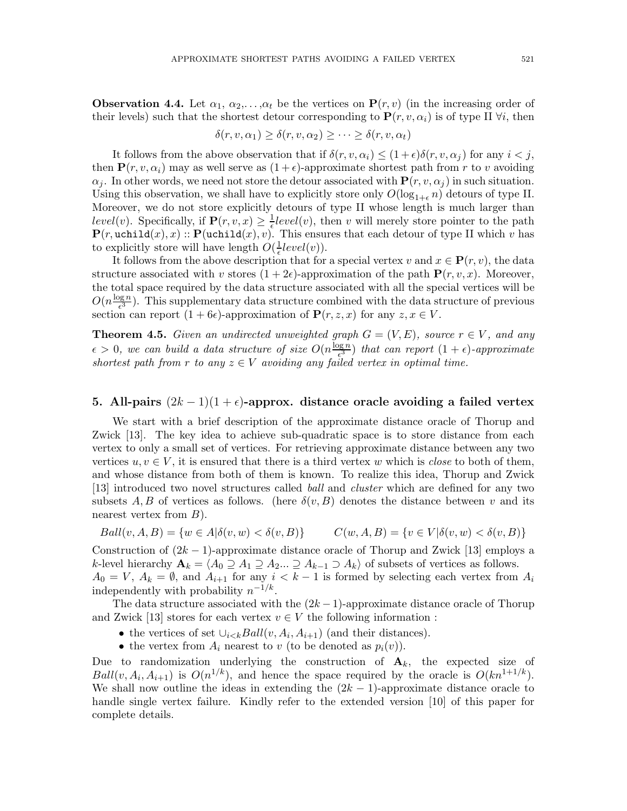**Observation 4.4.** Let  $\alpha_1, \alpha_2, \ldots, \alpha_t$  be the vertices on  $\mathbf{P}(r, v)$  (in the increasing order of their levels) such that the shortest detour corresponding to  $\mathbf{P}(r, v, \alpha_i)$  is of type II  $\forall i$ , then

$$
\delta(r, v, \alpha_1) \ge \delta(r, v, \alpha_2) \ge \cdots \ge \delta(r, v, \alpha_t)
$$

It follows from the above observation that if  $\delta(r, v, \alpha_i) \leq (1 + \epsilon) \delta(r, v, \alpha_i)$  for any  $i < j$ , then  $P(r, v, \alpha_i)$  may as well serve as  $(1 + \epsilon)$ -approximate shortest path from r to v avoiding  $\alpha_j$ . In other words, we need not store the detour associated with  $P(r, v, \alpha_j)$  in such situation. Using this observation, we shall have to explicitly store only  $O(\log_{1+\epsilon} n)$  detours of type II. Moreover, we do not store explicitly detours of type II whose length is much larger than level(v). Specifically, if  $\mathbf{P}(r, v, x) \geq \frac{1}{\epsilon}$  $\frac{1}{\epsilon} level(v)$ , then v will merely store pointer to the path  $\mathbf{P}(r, \text{uchild}(x), x) :: \mathbf{P}(\text{uchild}(x), v)$ . This ensures that each detour of type II which v has to explicitly store will have length  $O(\frac{1}{\epsilon})$  $\frac{1}{\epsilon} level(v)).$ 

It follows from the above description that for a special vertex v and  $x \in \mathbf{P}(r, v)$ , the data structure associated with v stores  $(1+2\epsilon)$ -approximation of the path  $\mathbf{P}(r, v, x)$ . Moreover, the total space required by the data structure associated with all the special vertices will be  $O(n\frac{\log n}{\epsilon^3})$  $\frac{\log n}{\epsilon^3}$ ). This supplementary data structure combined with the data structure of previous section can report  $(1 + 6\epsilon)$ -approximation of  $\mathbf{P}(r, z, x)$  for any  $z, x \in V$ .

**Theorem 4.5.** Given an undirected unweighted graph  $G = (V, E)$ , source  $r \in V$ , and any  $\epsilon > 0$ , we can build a data structure of size  $O(n \frac{\log n}{\epsilon^3})$  $\frac{\log n}{\epsilon^3}$ ) that can report  $(1+\epsilon)$ -approximate shortest path from r to any  $z \in V$  avoiding any failed vertex in optimal time.

#### 5. All-pairs  $(2k-1)(1+\epsilon)$ -approx. distance oracle avoiding a failed vertex

We start with a brief description of the approximate distance oracle of Thorup and Zwick [13]. The key idea to achieve sub-quadratic space is to store distance from each vertex to only a small set of vertices. For retrieving approximate distance between any two vertices  $u, v \in V$ , it is ensured that there is a third vertex w which is *close* to both of them, and whose distance from both of them is known. To realize this idea, Thorup and Zwick [13] introduced two novel structures called ball and cluster which are defined for any two subsets A, B of vertices as follows. (here  $\delta(v, B)$  denotes the distance between v and its nearest vertex from  $B$ ).

$$
Ball(v, A, B) = \{w \in A | \delta(v, w) < \delta(v, B)\} \qquad C(w, A, B) = \{v \in V | \delta(v, w) < \delta(v, B)\}
$$

Construction of  $(2k-1)$ -approximate distance oracle of Thorup and Zwick [13] employs a k-level hierarchy  $\mathbf{A}_k = \langle A_0 \supseteq A_1 \supseteq A_2... \supseteq A_{k-1} \supseteq A_k$  of subsets of vertices as follows.  $A_0 = V, A_k = \emptyset$ , and  $A_{i+1}$  for any  $i < k-1$  is formed by selecting each vertex from  $A_i$ independently with probability  $n^{-1/k}$ .

The data structure associated with the  $(2k-1)$ -approximate distance oracle of Thorup and Zwick [13] stores for each vertex  $v \in V$  the following information :

- the vertices of set  $\bigcup_{i \leq k} Ball(v, A_i, A_{i+1})$  (and their distances).
- the vertex from  $A_i$  nearest to v (to be denoted as  $p_i(v)$ ).

Due to randomization underlying the construction of  $A_k$ , the expected size of  $Ball(v, A_i, A_{i+1})$  is  $O(n^{1/k})$ , and hence the space required by the oracle is  $O(kn^{1+1/k})$ . We shall now outline the ideas in extending the  $(2k - 1)$ -approximate distance oracle to handle single vertex failure. Kindly refer to the extended version [10] of this paper for complete details.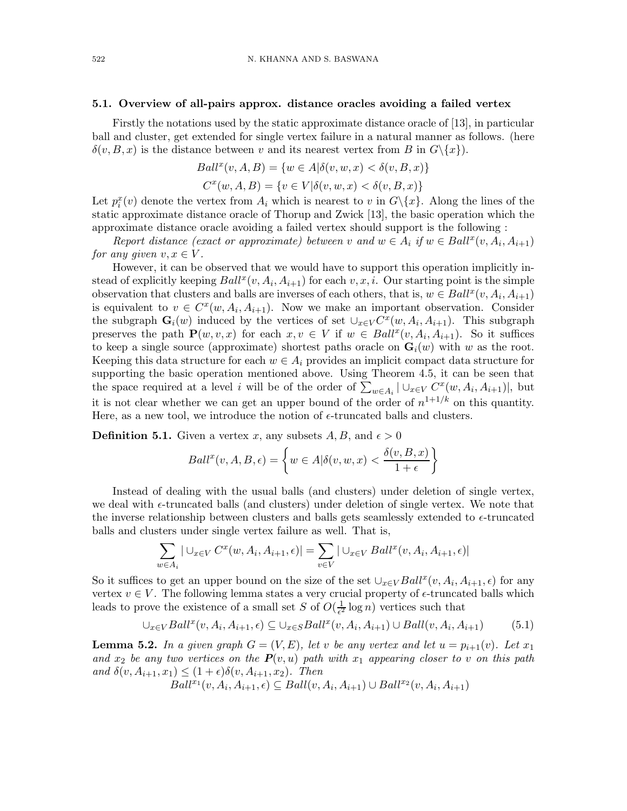#### 5.1. Overview of all-pairs approx. distance oracles avoiding a failed vertex

Firstly the notations used by the static approximate distance oracle of [13], in particular ball and cluster, get extended for single vertex failure in a natural manner as follows. (here  $\delta(v, B, x)$  is the distance between v and its nearest vertex from B in  $G \setminus \{x\}$ .

$$
Ball^{x}(v, A, B) = \{w \in A | \delta(v, w, x) < \delta(v, B, x) \}
$$
\n
$$
C^{x}(w, A, B) = \{v \in V | \delta(v, w, x) < \delta(v, B, x) \}
$$

Let  $p_i^x(v)$  denote the vertex from  $A_i$  which is nearest to v in  $G \setminus \{x\}$ . Along the lines of the static approximate distance oracle of Thorup and Zwick [13], the basic operation which the approximate distance oracle avoiding a failed vertex should support is the following :

Report distance (exact or approximate) between v and  $w \in A_i$  if  $w \in Ball^x(v, A_i, A_{i+1})$ for any given  $v, x \in V$ .

However, it can be observed that we would have to support this operation implicitly instead of explicitly keeping  $Ball^{x}(v, A_{i}, A_{i+1})$  for each  $v, x, i$ . Our starting point is the simple observation that clusters and balls are inverses of each others, that is,  $w \in Ball^x(v, A_i, A_{i+1})$ is equivalent to  $v \in C^x(w, A_i, A_{i+1})$ . Now we make an important observation. Consider the subgraph  $\mathbf{G}_i(w)$  induced by the vertices of set  $\cup_{x\in V} C^x(w, A_i, A_{i+1})$ . This subgraph preserves the path  $\mathbf{P}(w, v, x)$  for each  $x, v \in V$  if  $w \in Ball^{x}(v, A_{i}, A_{i+1})$ . So it suffices to keep a single source (approximate) shortest paths oracle on  $\mathbf{G}_i(w)$  with w as the root. Keeping this data structure for each  $w \in A_i$  provides an implicit compact data structure for supporting the basic operation mentioned above. Using Theorem 4.5, it can be seen that the space required at a level i will be of the order of  $\sum_{w \in A_i} |\cup_{x \in V} C^x(w, A_i, A_{i+1})|$ , but it is not clear whether we can get an upper bound of the order of  $n^{1+1/k}$  on this quantity. Here, as a new tool, we introduce the notion of  $\epsilon$ -truncated balls and clusters.

**Definition 5.1.** Given a vertex x, any subsets  $A, B$ , and  $\epsilon > 0$ 

$$
Ball^{x}(v, A, B, \epsilon) = \left\{ w \in A | \delta(v, w, x) < \frac{\delta(v, B, x)}{1 + \epsilon} \right\}
$$

Instead of dealing with the usual balls (and clusters) under deletion of single vertex, we deal with  $\epsilon$ -truncated balls (and clusters) under deletion of single vertex. We note that the inverse relationship between clusters and balls gets seamlessly extended to  $\epsilon$ -truncated balls and clusters under single vertex failure as well. That is,

$$
\sum_{w \in A_i} |\cup_{x \in V} C^x(w, A_i, A_{i+1}, \epsilon)| = \sum_{v \in V} |\cup_{x \in V} Ball^x(v, A_i, A_{i+1}, \epsilon)|
$$

So it suffices to get an upper bound on the size of the set  $\bigcup_{x\in V} Ball^x(v, A_i, A_{i+1}, \epsilon)$  for any vertex  $v \in V$ . The following lemma states a very crucial property of  $\epsilon$ -truncated balls which leads to prove the existence of a small set S of  $O(\frac{1}{\epsilon^2})$  $\frac{1}{e^2} \log n$ ) vertices such that

$$
\bigcup_{x \in V} Ball^x(v, A_i, A_{i+1}, \epsilon) \subseteq \bigcup_{x \in S} Ball^x(v, A_i, A_{i+1}) \cup Ball(v, A_i, A_{i+1})
$$
(5.1)

**Lemma 5.2.** In a given graph  $G = (V, E)$ , let v be any vertex and let  $u = p_{i+1}(v)$ . Let  $x_1$ and  $x_2$  be any two vertices on the  $P(v, u)$  path with  $x_1$  appearing closer to v on this path and  $\delta(v, A_{i+1}, x_1) \leq (1+\epsilon)\delta(v, A_{i+1}, x_2)$ . Then

 $Ball^{x_1}(v, A_i, A_{i+1}, \epsilon) \subseteq Ball(v, A_i, A_{i+1}) \cup Ball^{x_2}(v, A_i, A_{i+1})$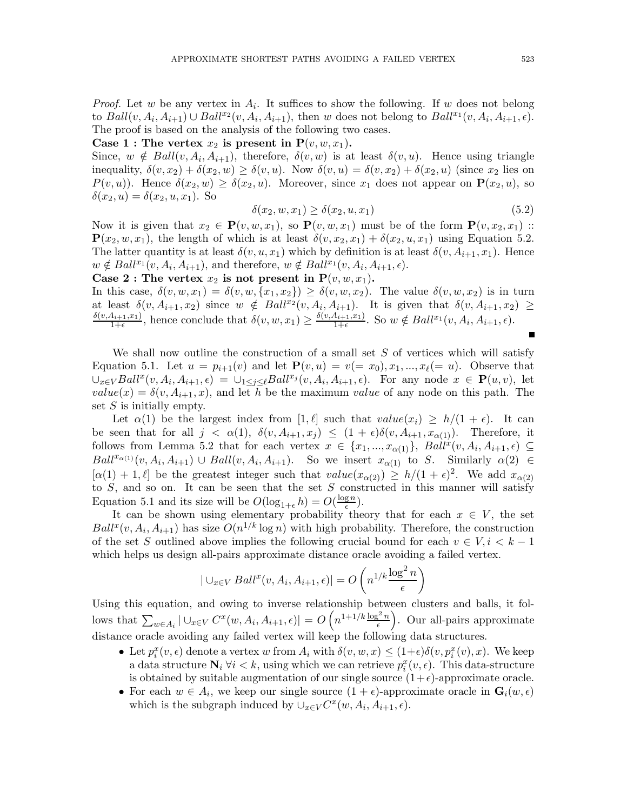*Proof.* Let w be any vertex in  $A_i$ . It suffices to show the following. If w does not belong to  $Ball(v, A_i, A_{i+1}) \cup Ball^{x_2}(v, A_i, A_{i+1}),$  then w does not belong to  $Ball^{x_1}(v, A_i, A_{i+1}, \epsilon)$ . The proof is based on the analysis of the following two cases.

Case 1 : The vertex  $x_2$  is present in  $P(v, w, x_1)$ .

Since,  $w \notin Ball(v, A_i, A_{i+1})$ , therefore,  $\delta(v, w)$  is at least  $\delta(v, u)$ . Hence using triangle inequality,  $\delta(v, x_2) + \delta(x_2, w) \geq \delta(v, u)$ . Now  $\delta(v, u) = \delta(v, x_2) + \delta(x_2, u)$  (since  $x_2$  lies on  $P(v, u)$ . Hence  $\delta(x_2, w) \geq \delta(x_2, u)$ . Moreover, since  $x_1$  does not appear on  $\mathbf{P}(x_2, u)$ , so  $\delta(x_2, u) = \delta(x_2, u, x_1)$ . So

$$
\delta(x_2, w, x_1) \ge \delta(x_2, u, x_1) \tag{5.2}
$$

Now it is given that  $x_2 \in \mathbf{P}(v, w, x_1)$ , so  $\mathbf{P}(v, w, x_1)$  must be of the form  $\mathbf{P}(v, x_2, x_1)$  ::  $\mathbf{P}(x_2, w, x_1)$ , the length of which is at least  $\delta(v, x_2, x_1) + \delta(x_2, u, x_1)$  using Equation 5.2. The latter quantity is at least  $\delta(v, u, x_1)$  which by definition is at least  $\delta(v, A_{i+1}, x_1)$ . Hence  $w \notin Ball^{x_1}(v, A_i, A_{i+1}),$  and therefore,  $w \notin Ball^{x_1}(v, A_i, A_{i+1}, \epsilon).$ 

Case 2 : The vertex  $x_2$  is not present in  $P(v, w, x_1)$ .

In this case,  $\delta(v, w, x_1) = \delta(v, w, \{x_1, x_2\}) \geq \delta(v, w, x_2)$ . The value  $\delta(v, w, x_2)$  is in turn at least  $\delta(v, A_{i+1}, x_2)$  since  $w \notin Ball^{x_2}(v, A_i, A_{i+1})$ . It is given that  $\delta(v, A_{i+1}, x_2) \geq$  $\delta(v, A_{i+1}, x_1)$  $\frac{A_{i+1},x_1)}{1+\epsilon}$ , hence conclude that  $\delta(v,w,x_1) \geq \frac{\delta(v,A_{i+1},x_1)}{1+\epsilon}$  $\frac{A_{i+1},x_1}{1+\epsilon}$ . So  $w \notin Ball^{x_1}(v, A_i, A_{i+1}, \epsilon)$ .  $\blacksquare$ 

We shall now outline the construction of a small set  $S$  of vertices which will satisfy Equation 5.1. Let  $u = p_{i+1}(v)$  and let  $\mathbf{P}(v, u) = v (= x_0), x_1, ..., x_\ell (= u)$ . Observe that  $\cup_{x\in V} Ball^{x}(v, A_{i}, A_{i+1}, \epsilon) = \cup_{1\leq j\leq \ell} Ball^{x_{j}}(v, A_{i}, A_{i+1}, \epsilon)$ . For any node  $x \in \mathbf{P}(u, v)$ , let  $value(x) = \delta(v, A_{i+1}, x)$ , and let h be the maximum value of any node on this path. The set  $S$  is initially empty.

Let  $\alpha(1)$  be the largest index from  $[1, \ell]$  such that  $value(x_i) \geq h/(1 + \epsilon)$ . It can be seen that for all  $j < \alpha(1)$ ,  $\delta(v, A_{i+1}, x_j) \leq (1 + \epsilon)\delta(v, A_{i+1}, x_{\alpha(1)})$ . Therefore, it follows from Lemma 5.2 that for each vertex  $x \in \{x_1, ..., x_{\alpha(1)}\}$ ,  $Bali^x(v, A_i, A_{i+1}, \epsilon) \subseteq$  $Ball^{x_{\alpha(1)}}(v, A_i, A_{i+1}) \cup Ball(v, A_i, A_{i+1}).$  So we insert  $x_{\alpha(1)}$  to S. Similarly  $\alpha(2) \in$  $[\alpha(1) + 1, \ell]$  be the greatest integer such that  $value(x_{\alpha(2)}) \ge h/(1+\epsilon)^2$ . We add  $x_{\alpha(2)}$ to  $S$ , and so on. It can be seen that the set  $S$  constructed in this manner will satisfy Equation 5.1 and its size will be  $O(\log_{1+\epsilon} h) = O(\frac{\log n}{\epsilon})$  $\frac{\mathrm{g}\,n}{\epsilon}$ ).

It can be shown using elementary probability theory that for each  $x \in V$ , the set  $Ball^{x}(v, A_{i}, A_{i+1})$  has size  $O(n^{1/k} \log n)$  with high probability. Therefore, the construction of the set S outlined above implies the following crucial bound for each  $v \in V, i \leq k-1$ which helps us design all-pairs approximate distance oracle avoiding a failed vertex.

$$
|\bigcup_{x \in V} Ball^{x}(v, A_{i}, A_{i+1}, \epsilon)| = O\left(n^{1/k} \frac{\log^{2} n}{\epsilon}\right)
$$

Using this equation, and owing to inverse relationship between clusters and balls, it follows that  $\sum_{w \in A_i} |\cup_{x \in V} C^x(w, A_i, A_{i+1}, \epsilon)| = O\left(n^{1+1/k} \frac{\log^2 n}{\epsilon}\right)$ . Our all-pairs approximate distance oracle avoiding any failed vertex will keep the following data structures.

- Let  $p_i^x(v, \epsilon)$  denote a vertex w from  $A_i$  with  $\delta(v, w, x) \leq (1+\epsilon)\delta(v, p_i^x(v), x)$ . We keep a data structure  $N_i \forall i \leq k$ , using which we can retrieve  $p_i^x(v, \epsilon)$ . This data-structure is obtained by suitable augmentation of our single source  $(1+\epsilon)$ -approximate oracle.
- For each  $w \in A_i$ , we keep our single source  $(1 + \epsilon)$ -approximate oracle in  $\mathbf{G}_i(w, \epsilon)$ which is the subgraph induced by  $\cup_{x\in V} C^x(w, A_i, A_{i+1}, \epsilon)$ .